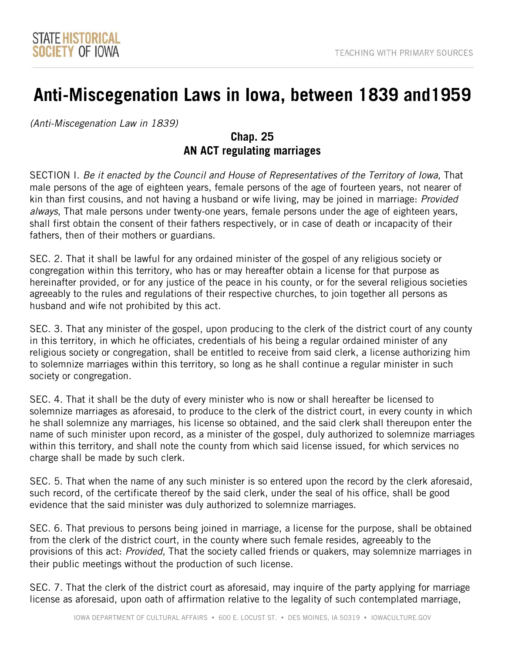# **Anti-Miscegenation Laws in Iowa, between 1839 and1959**

*(Anti-Miscegenation Law in 1839)* 

## **Chap. 25 AN ACT regulating marriages**

 SECTION I. *Be it enacted by the Council and House of Representatives of the Territory of Iowa*, That kin than first cousins, and not having a husband or wife living, may be joined in marriage: *Provided*  male persons of the age of eighteen years, female persons of the age of fourteen years, not nearer of *always*, That male persons under twenty-one years, female persons under the age of eighteen years, shall first obtain the consent of their fathers respectively, or in case of death or incapacity of their fathers, then of their mothers or guardians.

 hereinafter provided, or for any justice of the peace in his county, or for the several religious societies SEC. 2. That it shall be lawful for any ordained minister of the gospel of any religious society or congregation within this territory, who has or may hereafter obtain a license for that purpose as agreeably to the rules and regulations of their respective churches, to join together all persons as husband and wife not prohibited by this act.

 in this territory, in which he officiates, credentials of his being a regular ordained minister of any SEC. 3. That any minister of the gospel, upon producing to the clerk of the district court of any county religious society or congregation, shall be entitled to receive from said clerk, a license authorizing him to solemnize marriages within this territory, so long as he shall continue a regular minister in such society or congregation.

SEC. 4. That it shall be the duty of every minister who is now or shall hereafter be licensed to solemnize marriages as aforesaid, to produce to the clerk of the district court, in every county in which he shall solemnize any marriages, his license so obtained, and the said clerk shall thereupon enter the name of such minister upon record, as a minister of the gospel, duly authorized to solemnize marriages within this territory, and shall note the county from which said license issued, for which services no charge shall be made by such clerk.

SEC. 5. That when the name of any such minister is so entered upon the record by the clerk aforesaid, such record, of the certificate thereof by the said clerk, under the seal of his office, shall be good evidence that the said minister was duly authorized to solemnize marriages.

 provisions of this act: *Provided*, That the society called friends or quakers, may solemnize marriages in SEC. 6. That previous to persons being joined in marriage, a license for the purpose, shall be obtained from the clerk of the district court, in the county where such female resides, agreeably to the their public meetings without the production of such license.

 license as aforesaid, upon oath of affirmation relative to the legality of such contemplated marriage, SEC. 7. That the clerk of the district court as aforesaid, may inquire of the party applying for marriage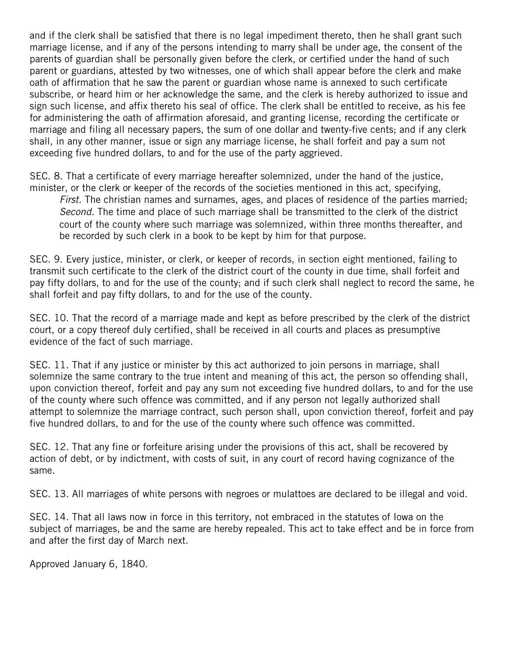subscribe, or heard him or her acknowledge the same, and the clerk is hereby authorized to issue and and if the clerk shall be satisfied that there is no legal impediment thereto, then he shall grant such marriage license, and if any of the persons intending to marry shall be under age, the consent of the parents of guardian shall be personally given before the clerk, or certified under the hand of such parent or guardians, attested by two witnesses, one of which shall appear before the clerk and make oath of affirmation that he saw the parent or guardian whose name is annexed to such certificate sign such license, and affix thereto his seal of office. The clerk shall be entitled to receive, as his fee for administering the oath of affirmation aforesaid, and granting license, recording the certificate or marriage and filing all necessary papers, the sum of one dollar and twenty-five cents; and if any clerk shall, in any other manner, issue or sign any marriage license, he shall forfeit and pay a sum not exceeding five hundred dollars, to and for the use of the party aggrieved.

SEC. 8. That a certificate of every marriage hereafter solemnized, under the hand of the justice, minister, or the clerk or keeper of the records of the societies mentioned in this act, specifying,

*First.* The christian names and surnames, ages, and places of residence of the parties married; *Second.* The time and place of such marriage shall be transmitted to the clerk of the district court of the county where such marriage was solemnized, within three months thereafter, and be recorded by such clerk in a book to be kept by him for that purpose.

SEC. 9. Every justice, minister, or clerk, or keeper of records, in section eight mentioned, failing to transmit such certificate to the clerk of the district court of the county in due time, shall forfeit and pay fifty dollars, to and for the use of the county; and if such clerk shall neglect to record the same, he shall forfeit and pay fifty dollars, to and for the use of the county.

SEC. 10. That the record of a marriage made and kept as before prescribed by the clerk of the district court, or a copy thereof duly certified, shall be received in all courts and places as presumptive evidence of the fact of such marriage.

 SEC. 11. That if any justice or minister by this act authorized to join persons in marriage, shall of the county where such offence was committed, and if any person not legally authorized shall solemnize the same contrary to the true intent and meaning of this act, the person so offending shall, upon conviction thereof, forfeit and pay any sum not exceeding five hundred dollars, to and for the use attempt to solemnize the marriage contract, such person shall, upon conviction thereof, forfeit and pay five hundred dollars, to and for the use of the county where such offence was committed.

same. SEC. 12. That any fine or forfeiture arising under the provisions of this act, shall be recovered by action of debt, or by indictment, with costs of suit, in any court of record having cognizance of the

same.<br>SEC. 13. All marriages of white persons with negroes or mulattoes are declared to be illegal and void.

 SEC. 14. That all laws now in force in this territory, not embraced in the statutes of Iowa on the subject of marriages, be and the same are hereby repealed. This act to take effect and be in force from and after the first day of March next.

Approved January 6, 1840.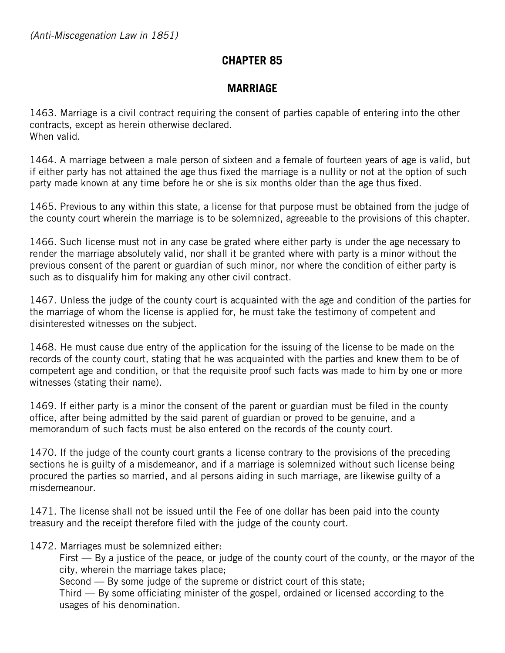# **CHAPTER 85**

# **MARRIAGE**

1463. Marriage is a civil contract requiring the consent of parties capable of entering into the other contracts, except as herein otherwise declared. When valid.

1464. A marriage between a male person of sixteen and a female of fourteen years of age is valid, but if either party has not attained the age thus fixed the marriage is a nullity or not at the option of such party made known at any time before he or she is six months older than the age thus fixed.

1465. Previous to any within this state, a license for that purpose must be obtained from the judge of the county court wherein the marriage is to be solemnized, agreeable to the provisions of this chapter.

 previous consent of the parent or guardian of such minor, nor where the condition of either party is 1466. Such license must not in any case be grated where either party is under the age necessary to render the marriage absolutely valid, nor shall it be granted where with party is a minor without the such as to disqualify him for making any other civil contract.

1467. Unless the judge of the county court is acquainted with the age and condition of the parties for the marriage of whom the license is applied for, he must take the testimony of competent and disinterested witnesses on the subject.

 records of the county court, stating that he was acquainted with the parties and knew them to be of 1468. He must cause due entry of the application for the issuing of the license to be made on the competent age and condition, or that the requisite proof such facts was made to him by one or more witnesses (stating their name).

1469. If either party is a minor the consent of the parent or guardian must be filed in the county office, after being admitted by the said parent of guardian or proved to be genuine, and a memorandum of such facts must be also entered on the records of the county court.

 sections he is guilty of a misdemeanor, and if a marriage is solemnized without such license being 1470. If the judge of the county court grants a license contrary to the provisions of the preceding procured the parties so married, and al persons aiding in such marriage, are likewise guilty of a misdemeanour.

 1471. The license shall not be issued until the Fee of one dollar has been paid into the county treasury and the receipt therefore filed with the judge of the county court.

1472. Marriages must be solemnized either:

First — By a justice of the peace, or judge of the county court of the county, or the mayor of the city, wherein the marriage takes place;

Second — By some judge of the supreme or district court of this state;

Third — By some officiating minister of the gospel, ordained or licensed according to the usages of his denomination.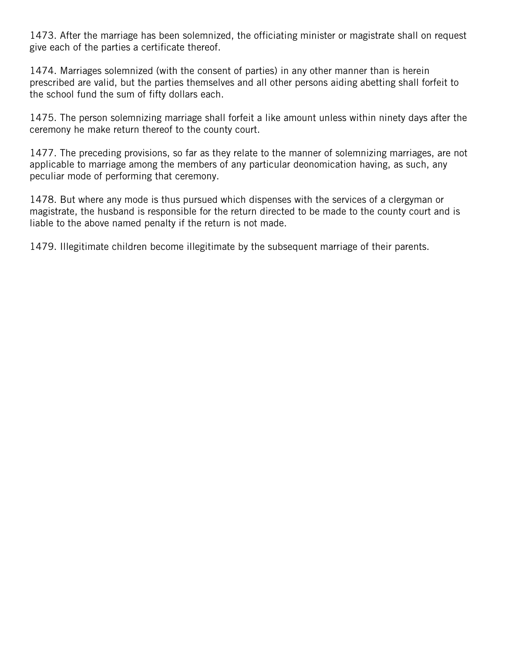1473. After the marriage has been solemnized, the officiating minister or magistrate shall on request give each of the parties a certificate thereof.

 1474. Marriages solemnized (with the consent of parties) in any other manner than is herein prescribed are valid, but the parties themselves and all other persons aiding abetting shall forfeit to the school fund the sum of fifty dollars each.

1475. The person solemnizing marriage shall forfeit a like amount unless within ninety days after the ceremony he make return thereof to the county court.

1477. The preceding provisions, so far as they relate to the manner of solemnizing marriages, are not applicable to marriage among the members of any particular deonomication having, as such, any peculiar mode of performing that ceremony.

 1478. But where any mode is thus pursued which dispenses with the services of a clergyman or magistrate, the husband is responsible for the return directed to be made to the county court and is liable to the above named penalty if the return is not made.

1479. Illegitimate children become illegitimate by the subsequent marriage of their parents.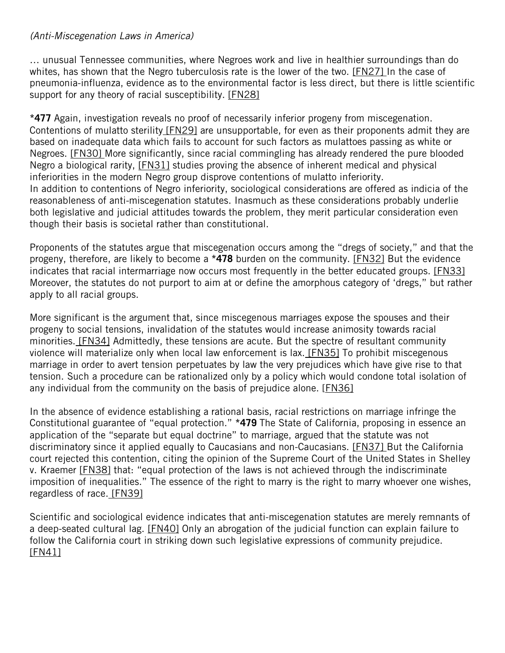#### *(Anti-Miscegenation Laws in America)*

… unusual Tennessee communities, where Negroes work and live in healthier surroundings than do whites, has shown that the Negro tuberculosis rate is the lower of the two. [FN27] In the case of pneumonia-influenza, evidence as to the environmental factor is less direct, but there is little scientific support for any theory of racial susceptibility. [FN28]

Contentions of mulatto sterility [FN29] are unsupportable, for even as their proponents admit they are **\*477** Again, investigation reveals no proof of necessarily inferior progeny from miscegenation. based on inadequate data which fails to account for such factors as mulattoes passing as white or Negroes. [FN30] More significantly, since racial commingling has already rendered the pure blooded Negro a biological rarity, [FN31] studies proving the absence of inherent medical and physical inferiorities in the modern Negro group disprove contentions of mulatto inferiority. In addition to contentions of Negro inferiority, sociological considerations are offered as indicia of the reasonableness of anti-miscegenation statutes. Inasmuch as these considerations probably underlie both legislative and judicial attitudes towards the problem, they merit particular consideration even though their basis is societal rather than constitutional.

 Moreover, the statutes do not purport to aim at or define the amorphous category of 'dregs," but rather Proponents of the statutes argue that miscegenation occurs among the "dregs of society," and that the progeny, therefore, are likely to become a **\*478** burden on the community. [FN32] But the evidence indicates that racial intermarriage now occurs most frequently in the better educated groups. [FN33] apply to all racial groups.

 More significant is the argument that, since miscegenous marriages expose the spouses and their minorities. [FN34] Admittedly, these tensions are acute. But the spectre of resultant community violence will materialize only when local law enforcement is lax. [FN35] To prohibit miscegenous progeny to social tensions, invalidation of the statutes would increase animosity towards racial marriage in order to avert tension perpetuates by law the very prejudices which have give rise to that tension. Such a procedure can be rationalized only by a policy which would condone total isolation of any individual from the community on the basis of prejudice alone. [FN36]

regardless of race. [FN39] In the absence of evidence establishing a rational basis, racial restrictions on marriage infringe the Constitutional guarantee of "equal protection." **\*479** The State of California, proposing in essence an application of the "separate but equal doctrine" to marriage, argued that the statute was not discriminatory since it applied equally to Caucasians and non-Caucasians. [FN37] But the California court rejected this contention, citing the opinion of the Supreme Court of the United States in Shelley v. Kraemer [FN38] that: "equal protection of the laws is not achieved through the indiscriminate imposition of inequalities." The essence of the right to marry is the right to marry whoever one wishes,

Scientific and sociological evidence indicates that anti-miscegenation statutes are merely remnants of a deep-seated cultural lag. [FN40] Only an abrogation of the judicial function can explain failure to follow the California court in striking down such legislative expressions of community prejudice. [FN41]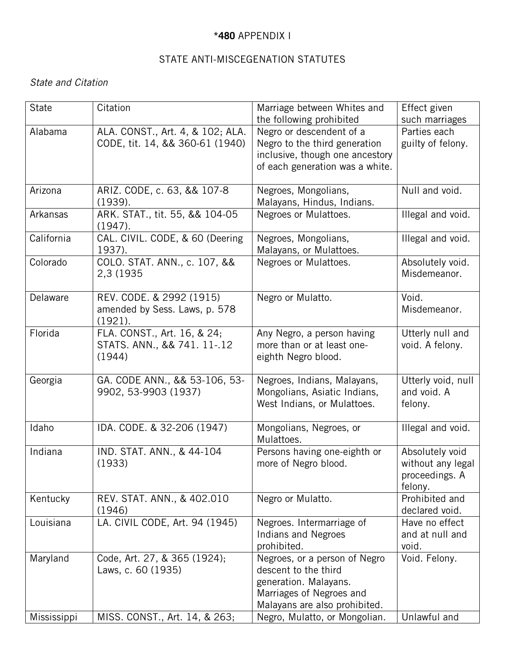### **\*480** APPENDIX I

## STATE ANTI-MISCEGENATION STATUTES

## *State and Citation*

| <b>State</b> | Citation                                                             | Marriage between Whites and<br>the following prohibited                                                                                     | Effect given<br>such marriages                                    |
|--------------|----------------------------------------------------------------------|---------------------------------------------------------------------------------------------------------------------------------------------|-------------------------------------------------------------------|
| Alabama      | ALA. CONST., Art. 4, & 102; ALA.<br>CODE, tit. 14, && 360-61 (1940)  | Negro or descendent of a<br>Negro to the third generation<br>inclusive, though one ancestory<br>of each generation was a white.             | Parties each<br>guilty of felony.                                 |
| Arizona      | ARIZ. CODE, c. 63, && 107-8<br>(1939).                               | Negroes, Mongolians,<br>Malayans, Hindus, Indians.                                                                                          | Null and void.                                                    |
| Arkansas     | ARK. STAT., tit. 55, && 104-05<br>(1947).                            | Negroes or Mulattoes.                                                                                                                       | Illegal and void.                                                 |
| California   | CAL. CIVIL. CODE, & 60 (Deering<br>1937).                            | Negroes, Mongolians,<br>Malayans, or Mulattoes.                                                                                             | Illegal and void.                                                 |
| Colorado     | COLO. STAT. ANN., c. 107, &&<br>2,3 (1935                            | Negroes or Mulattoes.                                                                                                                       | Absolutely void.<br>Misdemeanor.                                  |
| Delaware     | REV. CODE. & 2992 (1915)<br>amended by Sess. Laws, p. 578<br>(1921). | Negro or Mulatto.                                                                                                                           | Void.<br>Misdemeanor.                                             |
| Florida      | FLA. CONST., Art. 16, & 24;<br>STATS. ANN., && 741. 11-.12<br>(1944) | Any Negro, a person having<br>more than or at least one-<br>eighth Negro blood.                                                             | Utterly null and<br>void. A felony.                               |
| Georgia      | GA. CODE ANN., && 53-106, 53-<br>9902, 53-9903 (1937)                | Negroes, Indians, Malayans,<br>Mongolians, Asiatic Indians,<br>West Indians, or Mulattoes.                                                  | Utterly void, null<br>and void. A<br>felony.                      |
| Idaho        | IDA. CODE. & 32-206 (1947)                                           | Mongolians, Negroes, or<br>Mulattoes.                                                                                                       | Illegal and void.                                                 |
| Indiana      | IND. STAT. ANN., & 44-104<br>(1933)                                  | Persons having one-eighth or<br>more of Negro blood.                                                                                        | Absolutely void<br>without any legal<br>proceedings. A<br>felony. |
| Kentucky     | REV. STAT. ANN., & 402.010<br>(1946)                                 | Negro or Mulatto.                                                                                                                           | Prohibited and<br>declared void.                                  |
| Louisiana    | LA. CIVIL CODE, Art. 94 (1945)                                       | Negroes. Intermarriage of<br><b>Indians and Negroes</b><br>prohibited.                                                                      | Have no effect<br>and at null and<br>void.                        |
| Maryland     | Code, Art. 27, & 365 (1924);<br>Laws, c. 60 (1935)                   | Negroes, or a person of Negro<br>descent to the third<br>generation. Malayans.<br>Marriages of Negroes and<br>Malayans are also prohibited. | Void. Felony.                                                     |
| Mississippi  | MISS. CONST., Art. 14, & 263;                                        | Negro, Mulatto, or Mongolian.                                                                                                               | Unlawful and                                                      |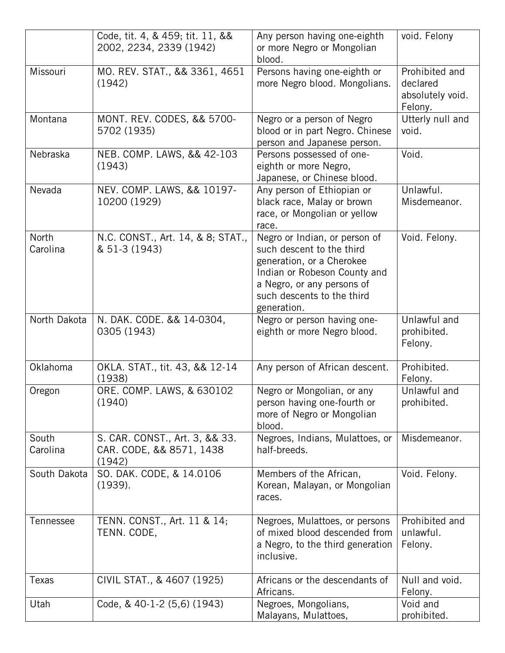|                   | Code, tit. 4, & 459; tit. 11, &&<br>2002, 2234, 2339 (1942)          | Any person having one-eighth<br>or more Negro or Mongolian<br>blood.                                                                                                                               | void. Felony                                              |
|-------------------|----------------------------------------------------------------------|----------------------------------------------------------------------------------------------------------------------------------------------------------------------------------------------------|-----------------------------------------------------------|
| Missouri          | MO. REV. STAT., && 3361, 4651<br>(1942)                              | Persons having one-eighth or<br>more Negro blood. Mongolians.                                                                                                                                      | Prohibited and<br>declared<br>absolutely void.<br>Felony. |
| Montana           | MONT. REV. CODES, && 5700-<br>5702 (1935)                            | Negro or a person of Negro<br>blood or in part Negro. Chinese<br>person and Japanese person.                                                                                                       | Utterly null and<br>void.                                 |
| Nebraska          | NEB. COMP. LAWS, && 42-103<br>(1943)                                 | Persons possessed of one-<br>eighth or more Negro,<br>Japanese, or Chinese blood.                                                                                                                  | Void.                                                     |
| Nevada            | NEV. COMP. LAWS, && 10197-<br>10200 (1929)                           | Any person of Ethiopian or<br>black race, Malay or brown<br>race, or Mongolian or yellow<br>race.                                                                                                  | Unlawful.<br>Misdemeanor.                                 |
| North<br>Carolina | N.C. CONST., Art. 14, & 8; STAT.,<br>& 51-3 (1943)                   | Negro or Indian, or person of<br>such descent to the third<br>generation, or a Cherokee<br>Indian or Robeson County and<br>a Negro, or any persons of<br>such descents to the third<br>generation. | Void. Felony.                                             |
| North Dakota      | N. DAK. CODE. && 14-0304,<br>0305 (1943)                             | Negro or person having one-<br>eighth or more Negro blood.                                                                                                                                         | Unlawful and<br>prohibited.<br>Felony.                    |
| Oklahoma          | OKLA. STAT., tit. 43, && 12-14<br>(1938)                             | Any person of African descent.                                                                                                                                                                     | Prohibited.<br>Felony.                                    |
| Oregon            | ORE. COMP. LAWS, & 630102<br>(1940)                                  | Negro or Mongolian, or any<br>person having one-fourth or<br>more of Negro or Mongolian<br>blood.                                                                                                  | Unlawful and<br>prohibited.                               |
| South<br>Carolina | S. CAR. CONST., Art. 3, && 33.<br>CAR. CODE, && 8571, 1438<br>(1942) | Negroes, Indians, Mulattoes, or<br>half-breeds.                                                                                                                                                    | Misdemeanor.                                              |
| South Dakota      | SO. DAK. CODE, & 14.0106<br>(1939).                                  | Members of the African,<br>Korean, Malayan, or Mongolian<br>races.                                                                                                                                 | Void. Felony.                                             |
| Tennessee         | TENN. CONST., Art. 11 & 14;<br>TENN. CODE,                           | Negroes, Mulattoes, or persons<br>of mixed blood descended from<br>a Negro, to the third generation<br>inclusive.                                                                                  | Prohibited and<br>unlawful.<br>Felony.                    |
| Texas             | CIVIL STAT., & 4607 (1925)                                           | Africans or the descendants of<br>Africans.                                                                                                                                                        | Null and void.<br>Felony.                                 |
| Utah              | Code, & 40-1-2 (5,6) (1943)                                          | Negroes, Mongolians,<br>Malayans, Mulattoes,                                                                                                                                                       | Void and<br>prohibited.                                   |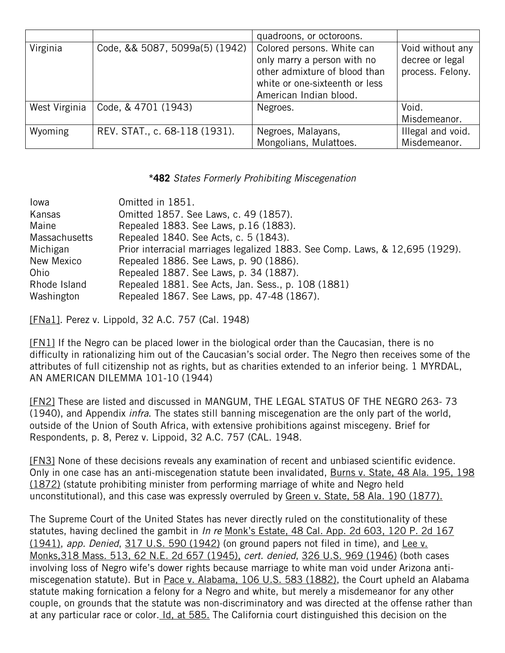|               |                                | quadroons, or octoroons.                                                                                                                               |                                                         |
|---------------|--------------------------------|--------------------------------------------------------------------------------------------------------------------------------------------------------|---------------------------------------------------------|
| Virginia      | Code, && 5087, 5099a(5) (1942) | Colored persons. White can<br>only marry a person with no<br>other admixture of blood than<br>white or one-sixteenth or less<br>American Indian blood. | Void without any<br>decree or legal<br>process. Felony. |
| West Virginia | Code, & 4701 (1943)            | Negroes.                                                                                                                                               | Void.<br>Misdemeanor.                                   |
| Wyoming       | REV. STAT., c. 68-118 (1931).  | Negroes, Malayans,<br>Mongolians, Mulattoes.                                                                                                           | Illegal and void.<br>Misdemeanor.                       |

#### **\*482** *States Formerly Prohibiting Miscegenation*

| Iowa                 | Omitted in 1851.                                                             |
|----------------------|------------------------------------------------------------------------------|
| Kansas               | Omitted 1857. See Laws, c. 49 (1857).                                        |
| Maine                | Repealed 1883. See Laws, p.16 (1883).                                        |
| <b>Massachusetts</b> | Repealed 1840. See Acts, c. 5 (1843).                                        |
| Michigan             | Prior interracial marriages legalized 1883. See Comp. Laws, & 12,695 (1929). |
| New Mexico           | Repealed 1886. See Laws, p. 90 (1886).                                       |
| Ohio                 | Repealed 1887. See Laws, p. 34 (1887).                                       |
| Rhode Island         | Repealed 1881. See Acts, Jan. Sess., p. 108 (1881)                           |
| Washington           | Repealed 1867. See Laws, pp. 47-48 (1867).                                   |

[FNa1]. Perez v. Lippold, 32 A.C. 757 (Cal. 1948)

 attributes of full citizenship not as rights, but as charities extended to an inferior being. 1 MYRDAL, [FN1] If the Negro can be placed lower in the biological order than the Caucasian, there is no difficulty in rationalizing him out of the Caucasian's social order. The Negro then receives some of the AN AMERICAN DILEMMA 101-10 (1944)

[FN2] These are listed and discussed in MANGUM, THE LEGAL STATUS OF THE NEGRO 263- 73 (1940), and Appendix *infra*. The states still banning miscegenation are the only part of the world, outside of the Union of South Africa, with extensive prohibitions against miscegeny. Brief for Respondents, p. 8, Perez v. Lippoid, 32 A.C. 757 (CAL. 1948.

(1872) (statute prohibiting minister from performing marriage of white and Negro held [FN3] None of these decisions reveals any examination of recent and unbiased scientific evidence. Only in one case has an anti-miscegenation statute been invalidated, Burns v. State, 48 Ala. 195, 198 unconstitutional), and this case was expressly overruled by Green v. State, 58 Ala. 190 (1877).

 involving loss of Negro wife's dower rights because marriage to white man void under Arizona antimiscegenation statute). But in Pace v. Alabama, 106 U.S. 583 (1882), the Court upheld an Alabama statute making fornication a felony for a Negro and white, but merely a misdemeanor for any other at any particular race or color. *Id, at 585*. The California court distinguished this decision on the The Supreme Court of the United States has never directly ruled on the constitutionality of these statutes, having declined the gambit in *In re* Monk's Estate, 48 Cal. App. 2d 603, 120 P. 2d 167 (1941), *app. Denied*, 317 U.S. 590 (1942) (on ground papers not filed in time), and Lee v. Monks,318 Mass. 513, 62 N.E. 2d 657 (1945), *cert. denied*, 326 U.S. 969 (1946) (both cases couple, on grounds that the statute was non-discriminatory and was directed at the offense rather than